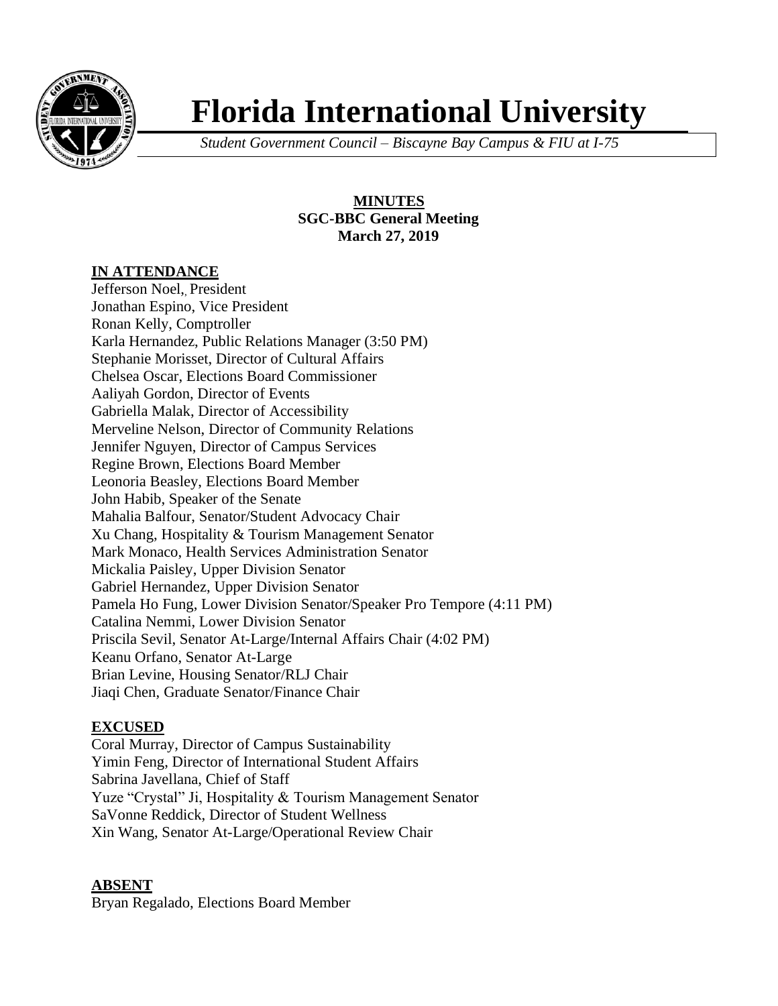

# **Florida International University**

*Student Government Council – Biscayne Bay Campus & FIU at I-75*

**MINUTES SGC-BBC General Meeting March 27, 2019**

#### **IN ATTENDANCE**

Jefferson Noel, President Jonathan Espino, Vice President Ronan Kelly, Comptroller Karla Hernandez, Public Relations Manager (3:50 PM) Stephanie Morisset, Director of Cultural Affairs Chelsea Oscar, Elections Board Commissioner Aaliyah Gordon, Director of Events Gabriella Malak, Director of Accessibility Merveline Nelson, Director of Community Relations Jennifer Nguyen, Director of Campus Services Regine Brown, Elections Board Member Leonoria Beasley, Elections Board Member John Habib, Speaker of the Senate Mahalia Balfour, Senator/Student Advocacy Chair Xu Chang, Hospitality & Tourism Management Senator Mark Monaco, Health Services Administration Senator Mickalia Paisley, Upper Division Senator Gabriel Hernandez, Upper Division Senator Pamela Ho Fung, Lower Division Senator/Speaker Pro Tempore (4:11 PM) Catalina Nemmi, Lower Division Senator Priscila Sevil, Senator At-Large/Internal Affairs Chair (4:02 PM) Keanu Orfano, Senator At-Large Brian Levine, Housing Senator/RLJ Chair Jiaqi Chen, Graduate Senator/Finance Chair

#### **EXCUSED**

Coral Murray, Director of Campus Sustainability Yimin Feng, Director of International Student Affairs Sabrina Javellana, Chief of Staff Yuze "Crystal" Ji, Hospitality & Tourism Management Senator SaVonne Reddick, Director of Student Wellness Xin Wang, Senator At-Large/Operational Review Chair

#### **ABSENT**

Bryan Regalado, Elections Board Member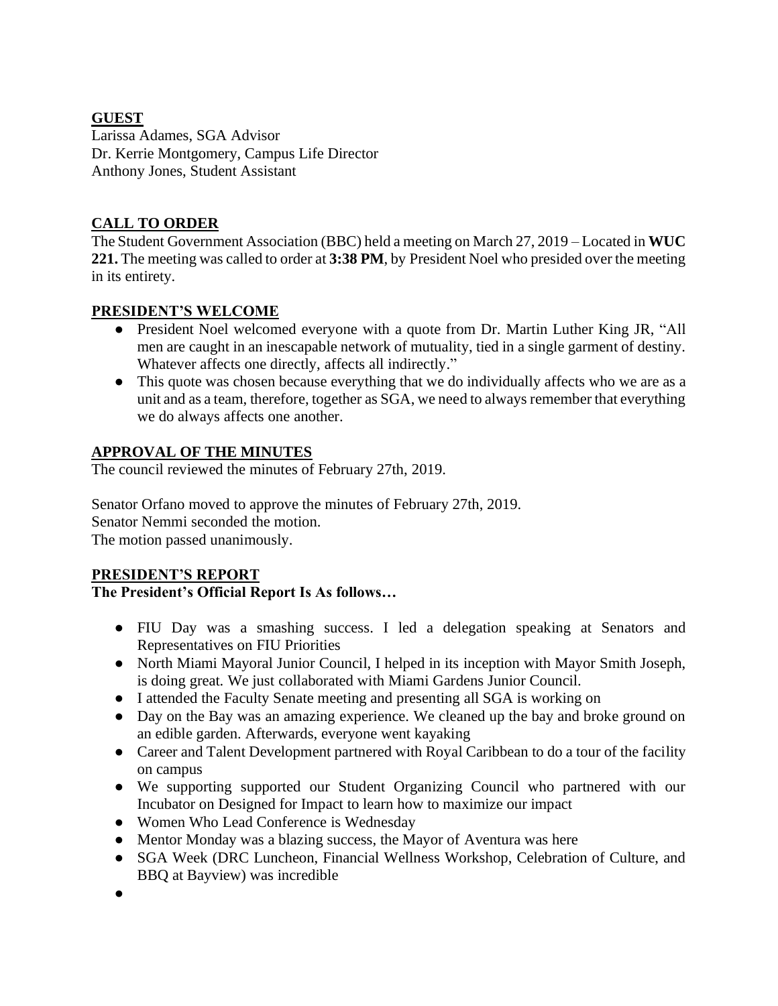### **GUEST**

Larissa Adames, SGA Advisor Dr. Kerrie Montgomery, Campus Life Director Anthony Jones, Student Assistant

# **CALL TO ORDER**

The Student Government Association (BBC) held a meeting on March 27, 2019 – Located in **WUC 221.** The meeting was called to order at **3:38 PM**, by President Noel who presided over the meeting in its entirety.

#### **PRESIDENT'S WELCOME**

- President Noel welcomed everyone with a quote from Dr. Martin Luther King JR, "All men are caught in an inescapable network of mutuality, tied in a single garment of destiny. Whatever affects one directly, affects all indirectly."
- This quote was chosen because everything that we do individually affects who we are as a unit and as a team, therefore, together as SGA, we need to always remember that everything we do always affects one another.

### **APPROVAL OF THE MINUTES**

The council reviewed the minutes of February 27th, 2019.

Senator Orfano moved to approve the minutes of February 27th, 2019. Senator Nemmi seconded the motion. The motion passed unanimously.

#### **PRESIDENT'S REPORT**

#### **The President's Official Report Is As follows…**

- FIU Day was a smashing success. I led a delegation speaking at Senators and Representatives on FIU Priorities
- North Miami Mayoral Junior Council, I helped in its inception with Mayor Smith Joseph, is doing great. We just collaborated with Miami Gardens Junior Council.
- I attended the Faculty Senate meeting and presenting all SGA is working on
- Day on the Bay was an amazing experience. We cleaned up the bay and broke ground on an edible garden. Afterwards, everyone went kayaking
- Career and Talent Development partnered with Royal Caribbean to do a tour of the facility on campus
- We supporting supported our Student Organizing Council who partnered with our Incubator on Designed for Impact to learn how to maximize our impact
- Women Who Lead Conference is Wednesday
- Mentor Monday was a blazing success, the Mayor of Aventura was here
- SGA Week (DRC Luncheon, Financial Wellness Workshop, Celebration of Culture, and BBQ at Bayview) was incredible
- ●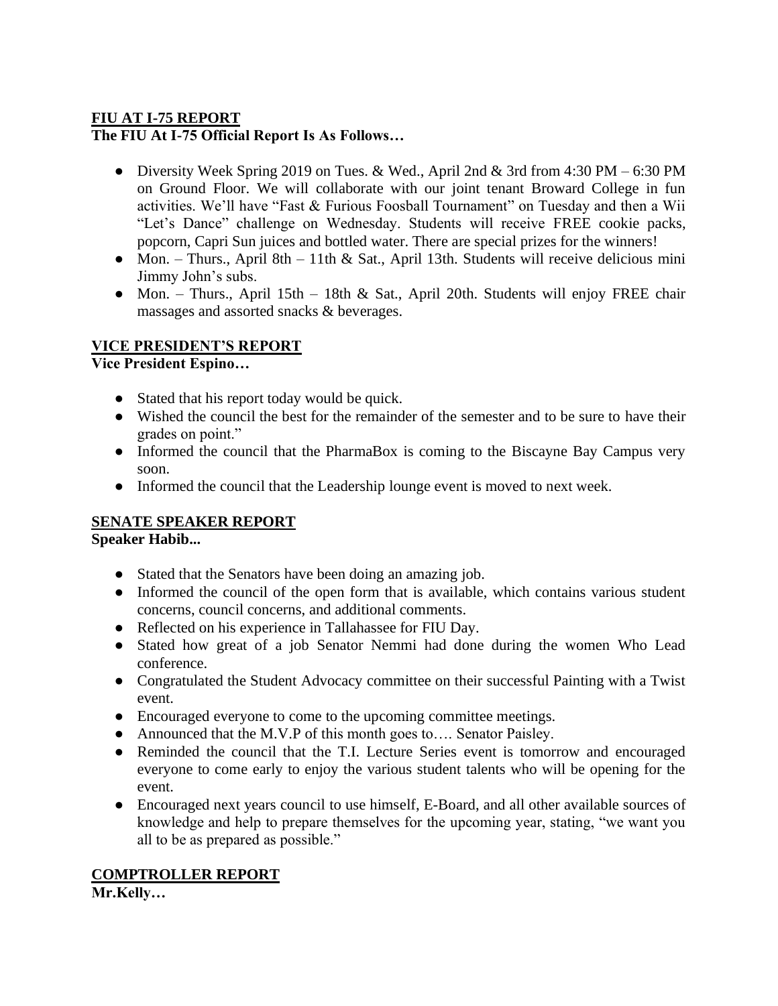#### **FIU AT I-75 REPORT The FIU At I-75 Official Report Is As Follows…**

- Diversity Week Spring 2019 on Tues. & Wed., April 2nd & 3rd from 4:30 PM 6:30 PM on Ground Floor. We will collaborate with our joint tenant Broward College in fun activities. We'll have "Fast & Furious Foosball Tournament" on Tuesday and then a Wii "Let's Dance" challenge on Wednesday. Students will receive FREE cookie packs, popcorn, Capri Sun juices and bottled water. There are special prizes for the winners!
- Mon. Thurs., April 8th 11th & Sat., April 13th. Students will receive delicious mini Jimmy John's subs.
- Mon. Thurs., April 15th 18th & Sat., April 20th. Students will enjoy FREE chair massages and assorted snacks & beverages.

# **VICE PRESIDENT'S REPORT**

**Vice President Espino…**

- Stated that his report today would be quick.
- Wished the council the best for the remainder of the semester and to be sure to have their grades on point."
- Informed the council that the PharmaBox is coming to the Biscayne Bay Campus very soon.
- Informed the council that the Leadership lounge event is moved to next week.

# **SENATE SPEAKER REPORT**

**Speaker Habib...**

- Stated that the Senators have been doing an amazing job.
- Informed the council of the open form that is available, which contains various student concerns, council concerns, and additional comments.
- Reflected on his experience in Tallahassee for FIU Day.
- Stated how great of a job Senator Nemmi had done during the women Who Lead conference.
- Congratulated the Student Advocacy committee on their successful Painting with a Twist event.
- Encouraged everyone to come to the upcoming committee meetings.
- Announced that the M.V.P of this month goes to.... Senator Paisley.
- Reminded the council that the T.I. Lecture Series event is tomorrow and encouraged everyone to come early to enjoy the various student talents who will be opening for the event.
- Encouraged next years council to use himself, E-Board, and all other available sources of knowledge and help to prepare themselves for the upcoming year, stating, "we want you all to be as prepared as possible."

# **COMPTROLLER REPORT**

**Mr.Kelly…**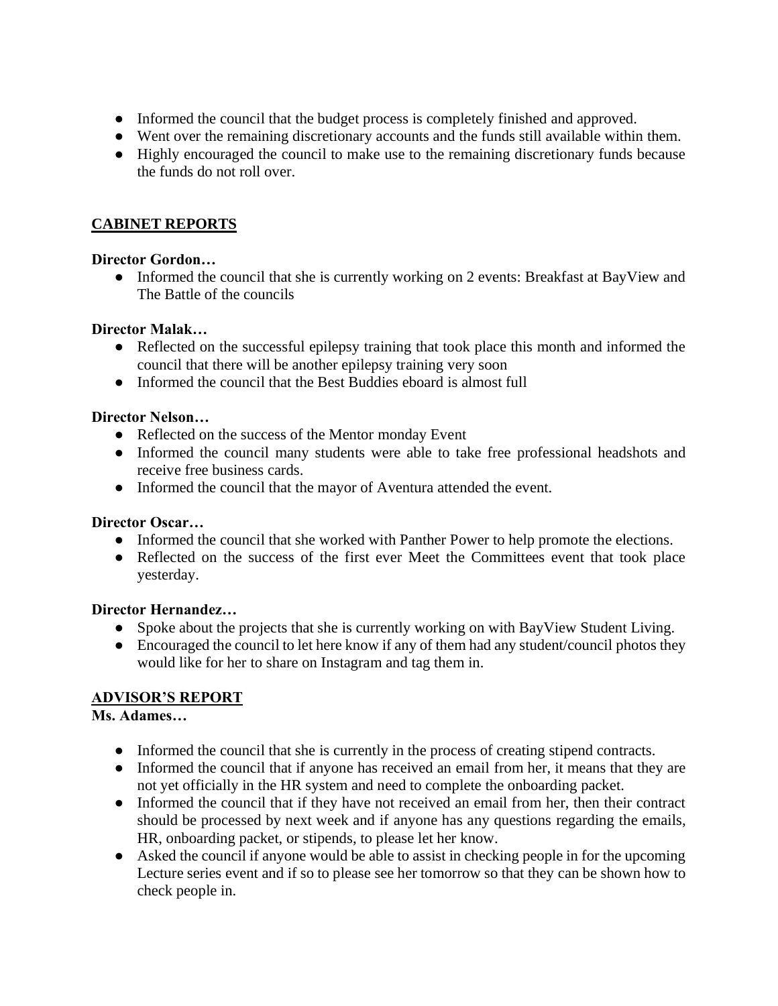- Informed the council that the budget process is completely finished and approved.
- Went over the remaining discretionary accounts and the funds still available within them.
- Highly encouraged the council to make use to the remaining discretionary funds because the funds do not roll over.

# **CABINET REPORTS**

#### **Director Gordon…**

• Informed the council that she is currently working on 2 events: Breakfast at BayView and The Battle of the councils

#### **Director Malak…**

- Reflected on the successful epilepsy training that took place this month and informed the council that there will be another epilepsy training very soon
- Informed the council that the Best Buddies eboard is almost full

#### **Director Nelson…**

- Reflected on the success of the Mentor monday Event
- Informed the council many students were able to take free professional headshots and receive free business cards.
- Informed the council that the mayor of Aventura attended the event.

#### **Director Oscar…**

- Informed the council that she worked with Panther Power to help promote the elections.
- Reflected on the success of the first ever Meet the Committees event that took place yesterday.

#### **Director Hernandez…**

- Spoke about the projects that she is currently working on with BayView Student Living.
- Encouraged the council to let here know if any of them had any student/council photos they would like for her to share on Instagram and tag them in.

#### **ADVISOR'S REPORT**

#### **Ms. Adames…**

- Informed the council that she is currently in the process of creating stipend contracts.
- Informed the council that if anyone has received an email from her, it means that they are not yet officially in the HR system and need to complete the onboarding packet.
- Informed the council that if they have not received an email from her, then their contract should be processed by next week and if anyone has any questions regarding the emails, HR, onboarding packet, or stipends, to please let her know.
- Asked the council if anyone would be able to assist in checking people in for the upcoming Lecture series event and if so to please see her tomorrow so that they can be shown how to check people in.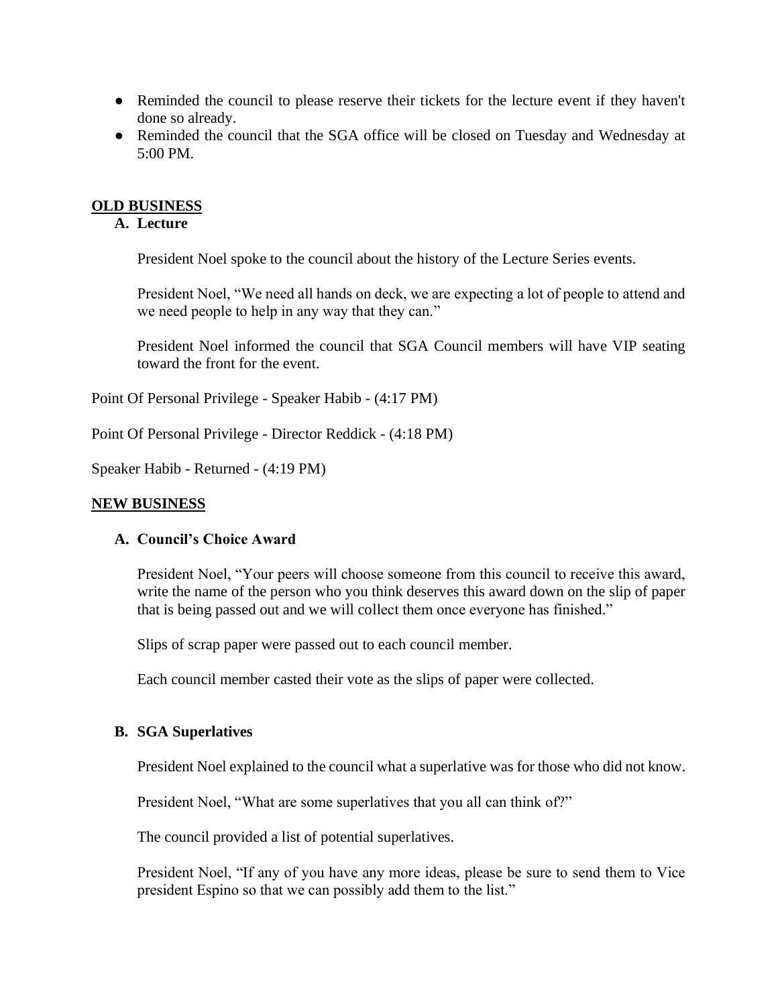- Reminded the council to please reserve their tickets for the lecture event if they haven't done so already.
- Reminded the council that the SGA office will be closed on Tuesday and Wednesday at 5:00 PM.

#### **OLD BUSINESS**

#### **A. Lecture**

President Noel spoke to the council about the history of the Lecture Series events.

President Noel, "We need all hands on deck, we are expecting a lot of people to attend and we need people to help in any way that they can."

President Noel informed the council that SGA Council members will have VIP seating toward the front for the event.

Point Of Personal Privilege - Speaker Habib - (4:17 PM)

Point Of Personal Privilege - Director Reddick - (4:18 PM)

Speaker Habib - Returned - (4:19 PM)

#### **NEW BUSINESS**

#### **A. Council's Choice Award**

President Noel, "Your peers will choose someone from this council to receive this award, write the name of the person who you think deserves this award down on the slip of paper that is being passed out and we will collect them once everyone has finished."

Slips of scrap paper were passed out to each council member.

Each council member casted their vote as the slips of paper were collected.

#### **B. SGA Superlatives**

President Noel explained to the council what a superlative was for those who did not know.

President Noel, "What are some superlatives that you all can think of?"

The council provided a list of potential superlatives.

President Noel, "If any of you have any more ideas, please be sure to send them to Vice president Espino so that we can possibly add them to the list."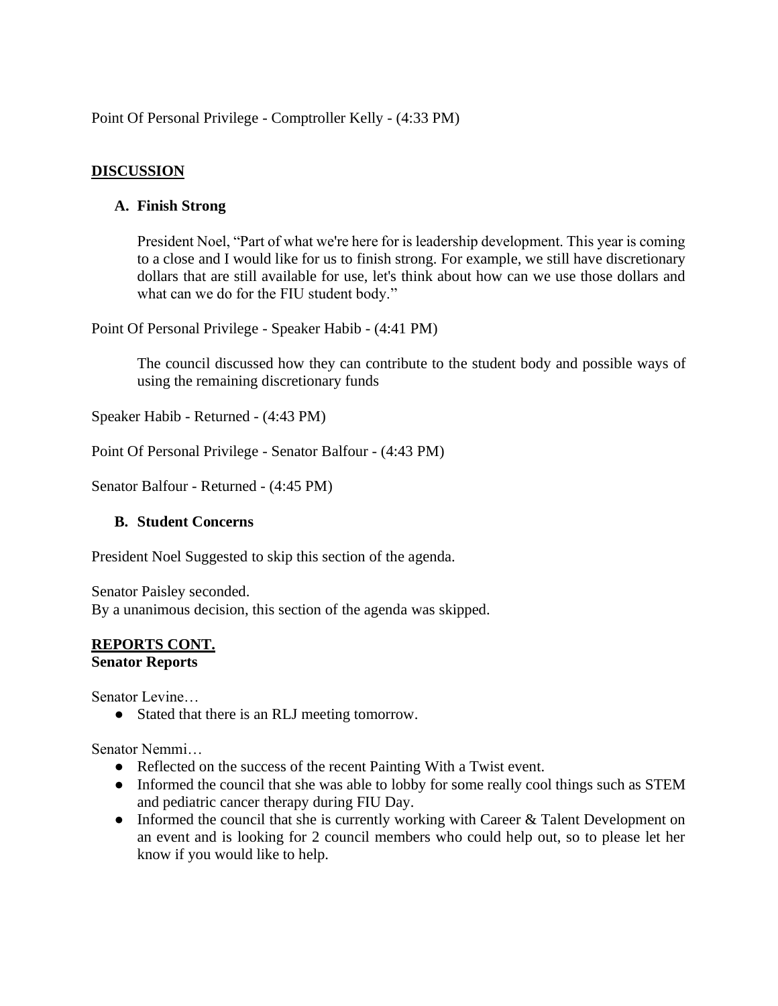Point Of Personal Privilege - Comptroller Kelly - (4:33 PM)

# **DISCUSSION**

#### **A. Finish Strong**

President Noel, "Part of what we're here for is leadership development. This year is coming to a close and I would like for us to finish strong. For example, we still have discretionary dollars that are still available for use, let's think about how can we use those dollars and what can we do for the FIU student body."

Point Of Personal Privilege - Speaker Habib - (4:41 PM)

The council discussed how they can contribute to the student body and possible ways of using the remaining discretionary funds

Speaker Habib - Returned - (4:43 PM)

Point Of Personal Privilege - Senator Balfour - (4:43 PM)

Senator Balfour - Returned - (4:45 PM)

#### **B. Student Concerns**

President Noel Suggested to skip this section of the agenda.

Senator Paisley seconded. By a unanimous decision, this section of the agenda was skipped.

#### **REPORTS CONT. Senator Reports**

Senator Levine…

• Stated that there is an RLJ meeting tomorrow.

Senator Nemmi…

- Reflected on the success of the recent Painting With a Twist event.
- Informed the council that she was able to lobby for some really cool things such as STEM and pediatric cancer therapy during FIU Day.
- Informed the council that she is currently working with Career & Talent Development on an event and is looking for 2 council members who could help out, so to please let her know if you would like to help.